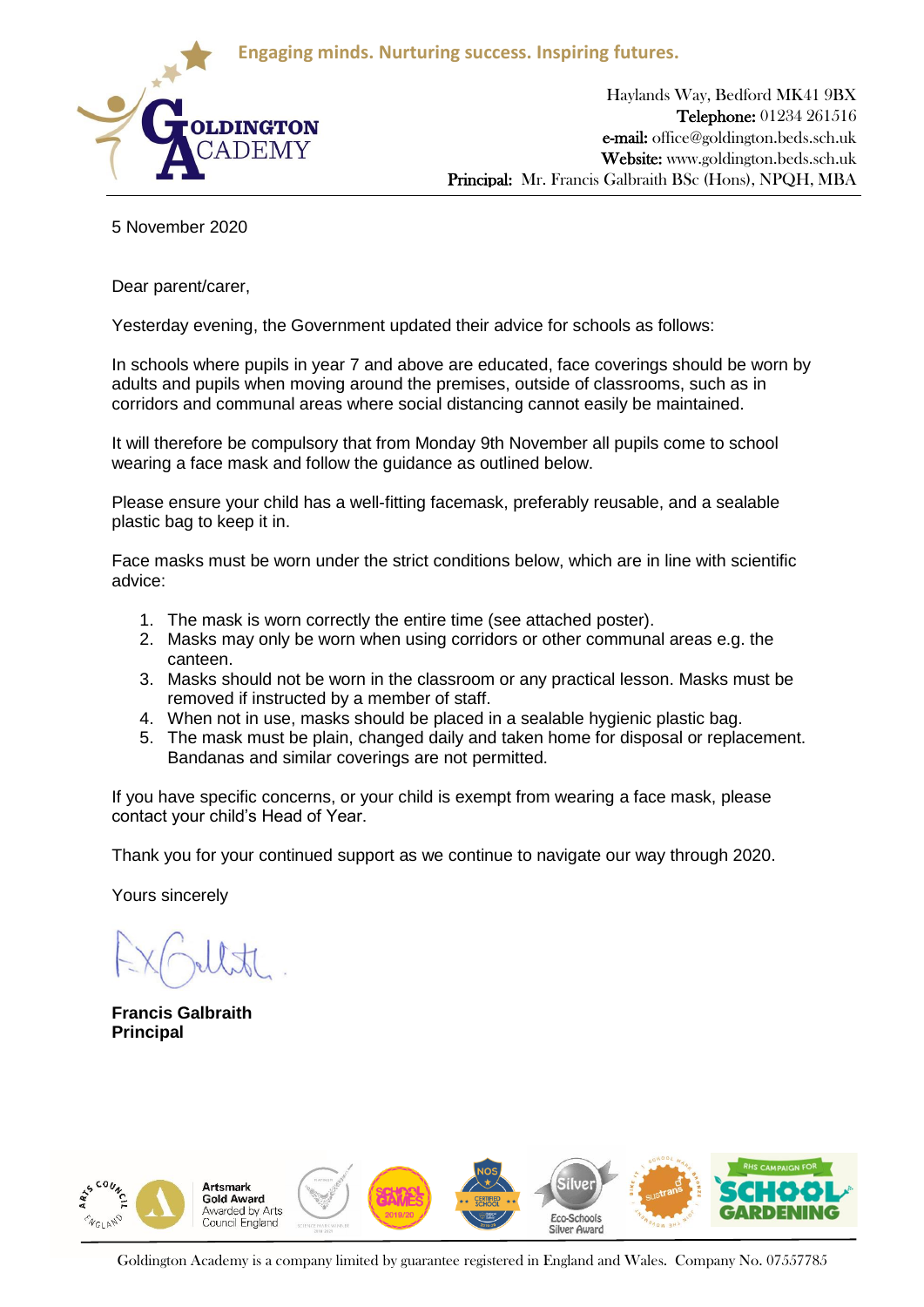**Engaging minds. Nurturing success. Inspiring futures.**



Haylands Way, Bedford MK41 9BX Telephone: 01234 261516 e-mail: office@goldington.beds.sch.uk Website: www.goldington.beds.sch.uk Principal: Mr. Francis Galbraith BSc (Hons), NPQH, MBA

5 November 2020

Dear parent/carer,

Yesterday evening, the Government updated their advice for schools as follows:

In schools where pupils in year 7 and above are educated, face coverings should be worn by adults and pupils when moving around the premises, outside of classrooms, such as in corridors and communal areas where social distancing cannot easily be maintained.

It will therefore be compulsory that from Monday 9th November all pupils come to school wearing a face mask and follow the guidance as outlined below.

Please ensure your child has a well-fitting facemask, preferably reusable, and a sealable plastic bag to keep it in.

Face masks must be worn under the strict conditions below, which are in line with scientific advice:

- 1. The mask is worn correctly the entire time (see attached poster).
- 2. Masks may only be worn when using corridors or other communal areas e.g. the canteen.
- 3. Masks should not be worn in the classroom or any practical lesson. Masks must be removed if instructed by a member of staff.
- 4. When not in use, masks should be placed in a sealable hygienic plastic bag.
- 5. The mask must be plain, changed daily and taken home for disposal or replacement. Bandanas and similar coverings are not permitted.

If you have specific concerns, or your child is exempt from wearing a face mask, please contact your child's Head of Year.

Thank you for your continued support as we continue to navigate our way through 2020.

Yours sincerely

**Francis Galbraith Principal**